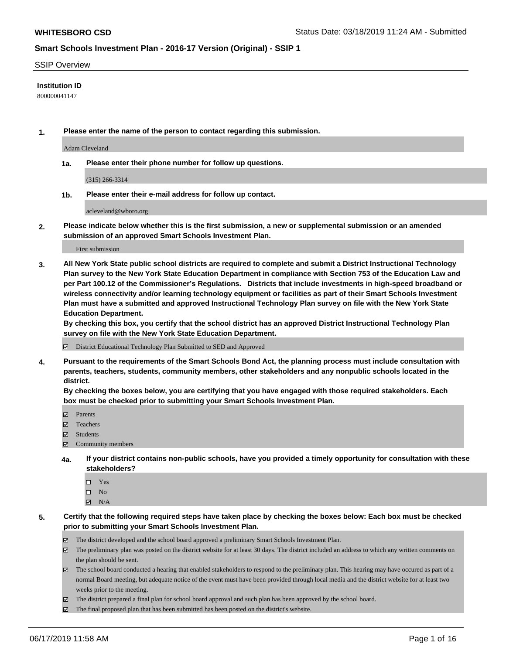#### SSIP Overview

#### **Institution ID**

800000041147

**1. Please enter the name of the person to contact regarding this submission.**

Adam Cleveland

**1a. Please enter their phone number for follow up questions.**

(315) 266-3314

**1b. Please enter their e-mail address for follow up contact.**

acleveland@wboro.org

**2. Please indicate below whether this is the first submission, a new or supplemental submission or an amended submission of an approved Smart Schools Investment Plan.**

First submission

**3. All New York State public school districts are required to complete and submit a District Instructional Technology Plan survey to the New York State Education Department in compliance with Section 753 of the Education Law and per Part 100.12 of the Commissioner's Regulations. Districts that include investments in high-speed broadband or wireless connectivity and/or learning technology equipment or facilities as part of their Smart Schools Investment Plan must have a submitted and approved Instructional Technology Plan survey on file with the New York State Education Department.** 

**By checking this box, you certify that the school district has an approved District Instructional Technology Plan survey on file with the New York State Education Department.**

District Educational Technology Plan Submitted to SED and Approved

**4. Pursuant to the requirements of the Smart Schools Bond Act, the planning process must include consultation with parents, teachers, students, community members, other stakeholders and any nonpublic schools located in the district.** 

**By checking the boxes below, you are certifying that you have engaged with those required stakeholders. Each box must be checked prior to submitting your Smart Schools Investment Plan.**

- Parents
- Teachers
- Students
- Community members
- **4a. If your district contains non-public schools, have you provided a timely opportunity for consultation with these stakeholders?**
	- □ Yes
	- $\square$  No
	- $N/A$

**5. Certify that the following required steps have taken place by checking the boxes below: Each box must be checked prior to submitting your Smart Schools Investment Plan.**

- The district developed and the school board approved a preliminary Smart Schools Investment Plan.
- $\boxtimes$  The preliminary plan was posted on the district website for at least 30 days. The district included an address to which any written comments on the plan should be sent.
- $\boxtimes$  The school board conducted a hearing that enabled stakeholders to respond to the preliminary plan. This hearing may have occured as part of a normal Board meeting, but adequate notice of the event must have been provided through local media and the district website for at least two weeks prior to the meeting.
- The district prepared a final plan for school board approval and such plan has been approved by the school board.
- $\boxtimes$  The final proposed plan that has been submitted has been posted on the district's website.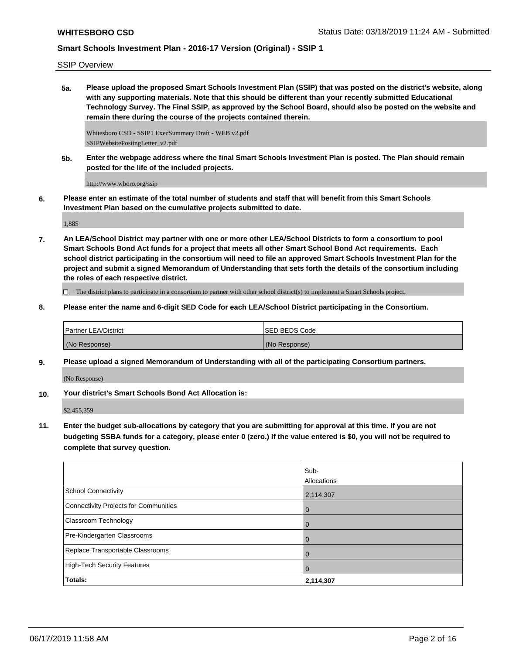SSIP Overview

**5a. Please upload the proposed Smart Schools Investment Plan (SSIP) that was posted on the district's website, along with any supporting materials. Note that this should be different than your recently submitted Educational Technology Survey. The Final SSIP, as approved by the School Board, should also be posted on the website and remain there during the course of the projects contained therein.**

Whitesboro CSD - SSIP1 ExecSummary Draft - WEB v2.pdf SSIPWebsitePostingLetter\_v2.pdf

**5b. Enter the webpage address where the final Smart Schools Investment Plan is posted. The Plan should remain posted for the life of the included projects.**

http://www.wboro.org/ssip

**6. Please enter an estimate of the total number of students and staff that will benefit from this Smart Schools Investment Plan based on the cumulative projects submitted to date.**

1,885

**7. An LEA/School District may partner with one or more other LEA/School Districts to form a consortium to pool Smart Schools Bond Act funds for a project that meets all other Smart School Bond Act requirements. Each school district participating in the consortium will need to file an approved Smart Schools Investment Plan for the project and submit a signed Memorandum of Understanding that sets forth the details of the consortium including the roles of each respective district.**

 $\Box$  The district plans to participate in a consortium to partner with other school district(s) to implement a Smart Schools project.

**8. Please enter the name and 6-digit SED Code for each LEA/School District participating in the Consortium.**

| <b>Partner LEA/District</b> | ISED BEDS Code |
|-----------------------------|----------------|
| (No Response)               | (No Response)  |

**9. Please upload a signed Memorandum of Understanding with all of the participating Consortium partners.**

(No Response)

**10. Your district's Smart Schools Bond Act Allocation is:**

\$2,455,359

**11. Enter the budget sub-allocations by category that you are submitting for approval at this time. If you are not budgeting SSBA funds for a category, please enter 0 (zero.) If the value entered is \$0, you will not be required to complete that survey question.**

|                                              | Sub-<br>Allocations |
|----------------------------------------------|---------------------|
| <b>School Connectivity</b>                   | 2,114,307           |
| <b>Connectivity Projects for Communities</b> | $\overline{0}$      |
| <b>Classroom Technology</b>                  | $\overline{0}$      |
| Pre-Kindergarten Classrooms                  | $\Omega$            |
| Replace Transportable Classrooms             | $\mathbf 0$         |
| <b>High-Tech Security Features</b>           | $\mathbf 0$         |
| Totals:                                      | 2,114,307           |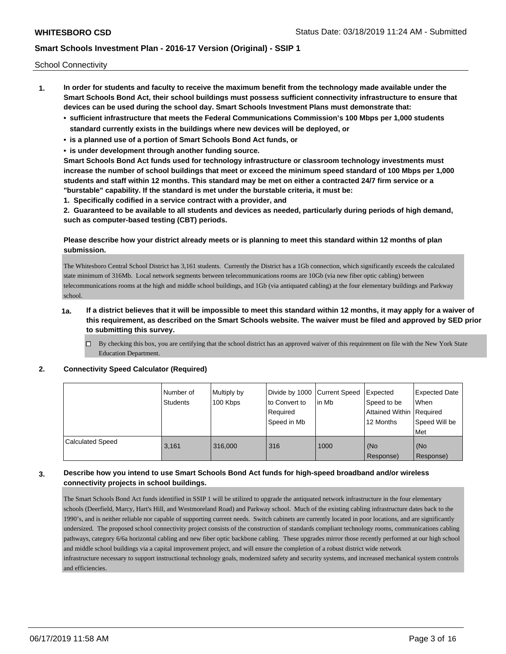School Connectivity

- **1. In order for students and faculty to receive the maximum benefit from the technology made available under the Smart Schools Bond Act, their school buildings must possess sufficient connectivity infrastructure to ensure that devices can be used during the school day. Smart Schools Investment Plans must demonstrate that:**
	- **• sufficient infrastructure that meets the Federal Communications Commission's 100 Mbps per 1,000 students standard currently exists in the buildings where new devices will be deployed, or**
	- **• is a planned use of a portion of Smart Schools Bond Act funds, or**
	- **• is under development through another funding source.**

**Smart Schools Bond Act funds used for technology infrastructure or classroom technology investments must increase the number of school buildings that meet or exceed the minimum speed standard of 100 Mbps per 1,000 students and staff within 12 months. This standard may be met on either a contracted 24/7 firm service or a "burstable" capability. If the standard is met under the burstable criteria, it must be:**

**1. Specifically codified in a service contract with a provider, and**

**2. Guaranteed to be available to all students and devices as needed, particularly during periods of high demand, such as computer-based testing (CBT) periods.**

### **Please describe how your district already meets or is planning to meet this standard within 12 months of plan submission.**

The Whitesboro Central School District has 3,161 students. Currently the District has a 1Gb connection, which significantly exceeds the calculated state minimum of 316Mb. Local network segments between telecommunications rooms are 10Gb (via new fiber optic cabling) between telecommunications rooms at the high and middle school buildings, and 1Gb (via antiquated cabling) at the four elementary buildings and Parkway school.

## **1a. If a district believes that it will be impossible to meet this standard within 12 months, it may apply for a waiver of this requirement, as described on the Smart Schools website. The waiver must be filed and approved by SED prior to submitting this survey.**

 $\Box$  By checking this box, you are certifying that the school district has an approved waiver of this requirement on file with the New York State Education Department.

#### **2. Connectivity Speed Calculator (Required)**

|                         | l Number of<br>Students | Multiply by<br>100 Kbps | to Convert to<br>Required<br>Speed in Mb | Divide by 1000 Current Speed Expected<br>l in Mb | Speed to be<br>Attained Within Required<br>12 Months | <b>Expected Date</b><br>When<br>Speed Will be<br>Met |
|-------------------------|-------------------------|-------------------------|------------------------------------------|--------------------------------------------------|------------------------------------------------------|------------------------------------------------------|
| <b>Calculated Speed</b> | 3.161                   | 316,000                 | 316                                      | 1000                                             | l (No<br>Response)                                   | (No<br>Response)                                     |

### **3. Describe how you intend to use Smart Schools Bond Act funds for high-speed broadband and/or wireless connectivity projects in school buildings.**

The Smart Schools Bond Act funds identified in SSIP 1 will be utilized to upgrade the antiquated network infrastructure in the four elementary schools (Deerfield, Marcy, Hart's Hill, and Westmoreland Road) and Parkway school. Much of the existing cabling infrastructure dates back to the 1990's, and is neither reliable nor capable of supporting current needs. Switch cabinets are currently located in poor locations, and are significantly undersized. The proposed school connectivity project consists of the construction of standards compliant technology rooms, communications cabling pathways, category 6/6a horizontal cabling and new fiber optic backbone cabling. These upgrades mirror those recently performed at our high school and middle school buildings via a capital improvement project, and will ensure the completion of a robust district wide network infrastructure necessary to support instructional technology goals, modernized safety and security systems, and increased mechanical system controls and efficiencies.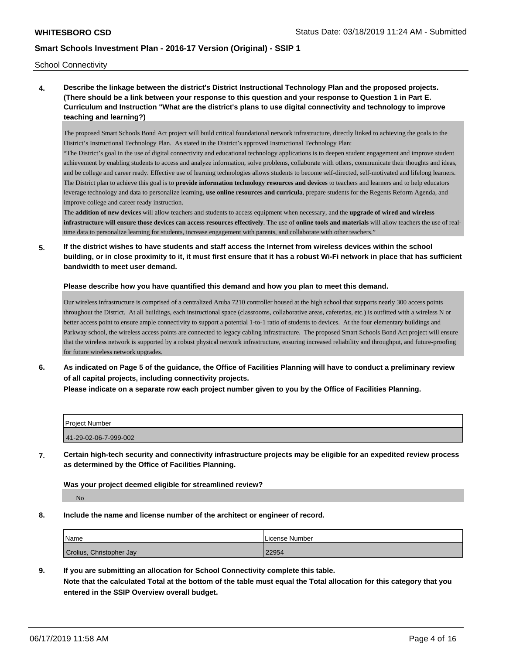School Connectivity

**4. Describe the linkage between the district's District Instructional Technology Plan and the proposed projects. (There should be a link between your response to this question and your response to Question 1 in Part E. Curriculum and Instruction "What are the district's plans to use digital connectivity and technology to improve teaching and learning?)**

The proposed Smart Schools Bond Act project will build critical foundational network infrastructure, directly linked to achieving the goals to the District's Instructional Technology Plan. As stated in the District's approved Instructional Technology Plan:

"The District's goal in the use of digital connectivity and educational technology applications is to deepen student engagement and improve student achievement by enabling students to access and analyze information, solve problems, collaborate with others, communicate their thoughts and ideas, and be college and career ready. Effective use of learning technologies allows students to become self-directed, self-motivated and lifelong learners. The District plan to achieve this goal is to **provide information technology resources and devices** to teachers and learners and to help educators leverage technology and data to personalize learning, **use online resources and curricula**, prepare students for the Regents Reform Agenda, and improve college and career ready instruction.

The **addition of new devices** will allow teachers and students to access equipment when necessary, and the **upgrade of wired and wireless infrastructure will ensure those devices can access resources effectively**. The use of **online tools and materials** will allow teachers the use of realtime data to personalize learning for students, increase engagement with parents, and collaborate with other teachers."

**5. If the district wishes to have students and staff access the Internet from wireless devices within the school building, or in close proximity to it, it must first ensure that it has a robust Wi-Fi network in place that has sufficient bandwidth to meet user demand.**

#### **Please describe how you have quantified this demand and how you plan to meet this demand.**

Our wireless infrastructure is comprised of a centralized Aruba 7210 controller housed at the high school that supports nearly 300 access points throughout the District. At all buildings, each instructional space (classrooms, collaborative areas, cafeterias, etc.) is outfitted with a wireless N or better access point to ensure ample connectivity to support a potential 1-to-1 ratio of students to devices. At the four elementary buildings and Parkway school, the wireless access points are connected to legacy cabling infrastructure. The proposed Smart Schools Bond Act project will ensure that the wireless network is supported by a robust physical network infrastructure, ensuring increased reliability and throughput, and future-proofing for future wireless network upgrades.

**6. As indicated on Page 5 of the guidance, the Office of Facilities Planning will have to conduct a preliminary review of all capital projects, including connectivity projects.**

**Please indicate on a separate row each project number given to you by the Office of Facilities Planning.**

| <b>Project Number</b> |  |
|-----------------------|--|
| 41-29-02-06-7-999-002 |  |

**7. Certain high-tech security and connectivity infrastructure projects may be eligible for an expedited review process as determined by the Office of Facilities Planning.**

#### **Was your project deemed eligible for streamlined review?**

No

**8. Include the name and license number of the architect or engineer of record.**

| <b>Name</b>              | License Number |
|--------------------------|----------------|
| Crolius, Christopher Jay | 22954          |

**9. If you are submitting an allocation for School Connectivity complete this table.**

**Note that the calculated Total at the bottom of the table must equal the Total allocation for this category that you entered in the SSIP Overview overall budget.**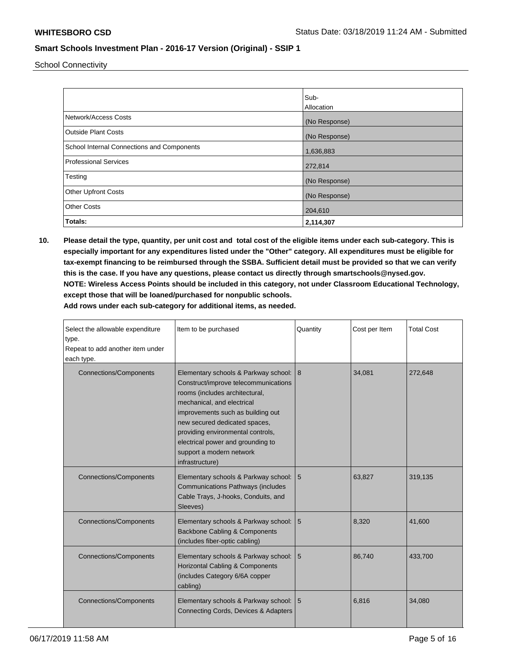School Connectivity

|                                            | Sub-<br>Allocation |
|--------------------------------------------|--------------------|
| Network/Access Costs                       | (No Response)      |
| <b>Outside Plant Costs</b>                 | (No Response)      |
| School Internal Connections and Components | 1,636,883          |
| <b>Professional Services</b>               | 272,814            |
| Testing                                    | (No Response)      |
| <b>Other Upfront Costs</b>                 | (No Response)      |
| <b>Other Costs</b>                         | 204,610            |
| Totals:                                    | 2,114,307          |

**10. Please detail the type, quantity, per unit cost and total cost of the eligible items under each sub-category. This is especially important for any expenditures listed under the "Other" category. All expenditures must be eligible for tax-exempt financing to be reimbursed through the SSBA. Sufficient detail must be provided so that we can verify this is the case. If you have any questions, please contact us directly through smartschools@nysed.gov. NOTE: Wireless Access Points should be included in this category, not under Classroom Educational Technology, except those that will be loaned/purchased for nonpublic schools.**

| Select the allowable expenditure<br>type.<br>Repeat to add another item under<br>each type. | Item to be purchased                                                                                                                                                                                                                                                                                                                          | Quantity | Cost per Item | <b>Total Cost</b> |
|---------------------------------------------------------------------------------------------|-----------------------------------------------------------------------------------------------------------------------------------------------------------------------------------------------------------------------------------------------------------------------------------------------------------------------------------------------|----------|---------------|-------------------|
| <b>Connections/Components</b>                                                               | Elementary schools & Parkway school: 8<br>Construct/improve telecommunications<br>rooms (includes architectural,<br>mechanical, and electrical<br>improvements such as building out<br>new secured dedicated spaces,<br>providing environmental controls,<br>electrical power and grounding to<br>support a modern network<br>infrastructure) |          | 34,081        | 272,648           |
| <b>Connections/Components</b>                                                               | Elementary schools & Parkway school:<br><b>Communications Pathways (includes</b><br>Cable Trays, J-hooks, Conduits, and<br>Sleeves)                                                                                                                                                                                                           | 5        | 63,827        | 319,135           |
| <b>Connections/Components</b>                                                               | Elementary schools & Parkway school:<br>Backbone Cabling & Components<br>(includes fiber-optic cabling)                                                                                                                                                                                                                                       | 5        | 8,320         | 41.600            |
| <b>Connections/Components</b>                                                               | Elementary schools & Parkway school:<br>Horizontal Cabling & Components<br>(includes Category 6/6A copper<br>cabling)                                                                                                                                                                                                                         | 5        | 86.740        | 433,700           |
| <b>Connections/Components</b>                                                               | Elementary schools & Parkway school:  <br>Connecting Cords, Devices & Adapters                                                                                                                                                                                                                                                                | 5        | 6.816         | 34,080            |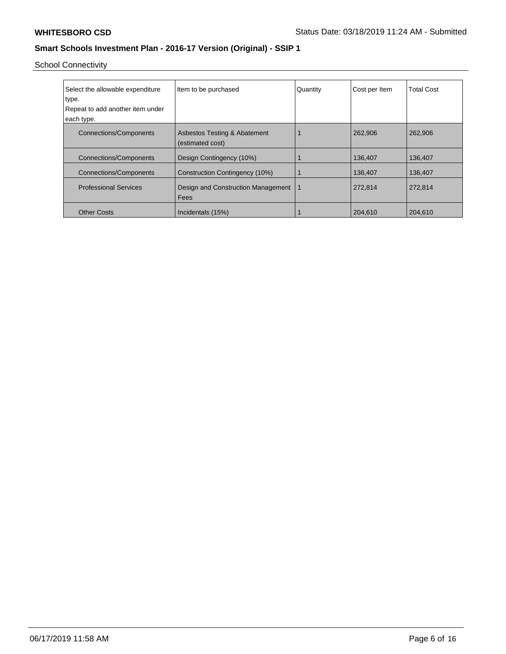School Connectivity

| Select the allowable expenditure | Item to be purchased                             | Quantity | Cost per Item | <b>Total Cost</b> |
|----------------------------------|--------------------------------------------------|----------|---------------|-------------------|
| type.                            |                                                  |          |               |                   |
| Repeat to add another item under |                                                  |          |               |                   |
| each type.                       |                                                  |          |               |                   |
| <b>Connections/Components</b>    | Asbestos Testing & Abatement<br>(estimated cost) |          | 262,906       | 262,906           |
| <b>Connections/Components</b>    | Design Contingency (10%)                         |          | 136,407       | 136,407           |
| <b>Connections/Components</b>    | Construction Contingency (10%)                   |          | 136,407       | 136,407           |
| <b>Professional Services</b>     | Design and Construction Management<br>Fees       |          | 272,814       | 272,814           |
| <b>Other Costs</b>               | Incidentals (15%)                                |          | 204,610       | 204,610           |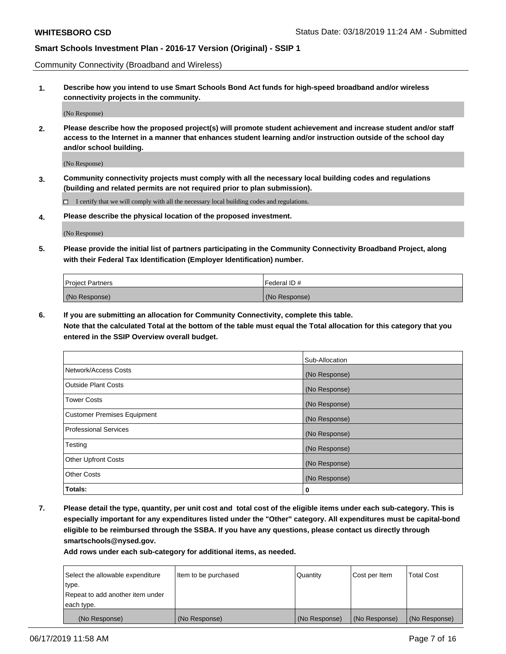Community Connectivity (Broadband and Wireless)

**1. Describe how you intend to use Smart Schools Bond Act funds for high-speed broadband and/or wireless connectivity projects in the community.**

(No Response)

**2. Please describe how the proposed project(s) will promote student achievement and increase student and/or staff access to the Internet in a manner that enhances student learning and/or instruction outside of the school day and/or school building.**

(No Response)

**3. Community connectivity projects must comply with all the necessary local building codes and regulations (building and related permits are not required prior to plan submission).**

 $\Box$  I certify that we will comply with all the necessary local building codes and regulations.

**4. Please describe the physical location of the proposed investment.**

(No Response)

**5. Please provide the initial list of partners participating in the Community Connectivity Broadband Project, along with their Federal Tax Identification (Employer Identification) number.**

| <b>Project Partners</b> | Federal ID#   |
|-------------------------|---------------|
| (No Response)           | (No Response) |

**6. If you are submitting an allocation for Community Connectivity, complete this table.**

**Note that the calculated Total at the bottom of the table must equal the Total allocation for this category that you entered in the SSIP Overview overall budget.**

|                                    | Sub-Allocation |
|------------------------------------|----------------|
| Network/Access Costs               | (No Response)  |
| <b>Outside Plant Costs</b>         | (No Response)  |
| <b>Tower Costs</b>                 | (No Response)  |
| <b>Customer Premises Equipment</b> | (No Response)  |
| <b>Professional Services</b>       | (No Response)  |
| Testing                            | (No Response)  |
| <b>Other Upfront Costs</b>         | (No Response)  |
| <b>Other Costs</b>                 | (No Response)  |
| Totals:                            | 0              |

**7. Please detail the type, quantity, per unit cost and total cost of the eligible items under each sub-category. This is especially important for any expenditures listed under the "Other" category. All expenditures must be capital-bond eligible to be reimbursed through the SSBA. If you have any questions, please contact us directly through smartschools@nysed.gov.**

| Select the allowable expenditure | Item to be purchased | Quantity      | Cost per Item | <b>Total Cost</b> |
|----------------------------------|----------------------|---------------|---------------|-------------------|
| type.                            |                      |               |               |                   |
| Repeat to add another item under |                      |               |               |                   |
| each type.                       |                      |               |               |                   |
| (No Response)                    | (No Response)        | (No Response) | (No Response) | (No Response)     |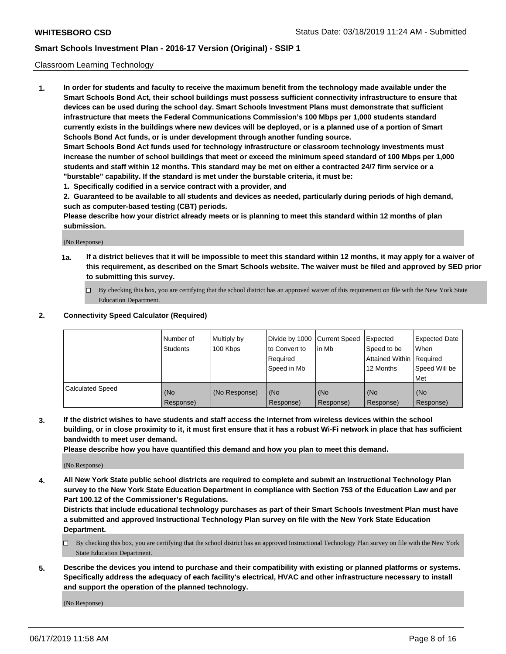#### Classroom Learning Technology

**1. In order for students and faculty to receive the maximum benefit from the technology made available under the Smart Schools Bond Act, their school buildings must possess sufficient connectivity infrastructure to ensure that devices can be used during the school day. Smart Schools Investment Plans must demonstrate that sufficient infrastructure that meets the Federal Communications Commission's 100 Mbps per 1,000 students standard currently exists in the buildings where new devices will be deployed, or is a planned use of a portion of Smart Schools Bond Act funds, or is under development through another funding source. Smart Schools Bond Act funds used for technology infrastructure or classroom technology investments must increase the number of school buildings that meet or exceed the minimum speed standard of 100 Mbps per 1,000 students and staff within 12 months. This standard may be met on either a contracted 24/7 firm service or a**

**"burstable" capability. If the standard is met under the burstable criteria, it must be:**

**1. Specifically codified in a service contract with a provider, and**

**2. Guaranteed to be available to all students and devices as needed, particularly during periods of high demand, such as computer-based testing (CBT) periods.**

**Please describe how your district already meets or is planning to meet this standard within 12 months of plan submission.**

(No Response)

- **1a. If a district believes that it will be impossible to meet this standard within 12 months, it may apply for a waiver of this requirement, as described on the Smart Schools website. The waiver must be filed and approved by SED prior to submitting this survey.**
	- By checking this box, you are certifying that the school district has an approved waiver of this requirement on file with the New York State Education Department.

#### **2. Connectivity Speed Calculator (Required)**

|                         | I Number of<br>Students | Multiply by<br>100 Kbps | to Convert to<br>Required<br>Speed in Mb | Divide by 1000 Current Speed Expected<br>lin Mb | Speed to be<br>Attained Within Required<br>12 Months | <b>Expected Date</b><br>When<br>Speed Will be<br>Met |
|-------------------------|-------------------------|-------------------------|------------------------------------------|-------------------------------------------------|------------------------------------------------------|------------------------------------------------------|
| <b>Calculated Speed</b> | (No<br>Response)        | (No Response)           | (No<br>Response)                         | (No<br>Response)                                | (No<br>Response)                                     | (No<br>Response)                                     |

**3. If the district wishes to have students and staff access the Internet from wireless devices within the school building, or in close proximity to it, it must first ensure that it has a robust Wi-Fi network in place that has sufficient bandwidth to meet user demand.**

**Please describe how you have quantified this demand and how you plan to meet this demand.**

(No Response)

**4. All New York State public school districts are required to complete and submit an Instructional Technology Plan survey to the New York State Education Department in compliance with Section 753 of the Education Law and per Part 100.12 of the Commissioner's Regulations.**

**Districts that include educational technology purchases as part of their Smart Schools Investment Plan must have a submitted and approved Instructional Technology Plan survey on file with the New York State Education Department.**

- $\Box$  By checking this box, you are certifying that the school district has an approved Instructional Technology Plan survey on file with the New York State Education Department.
- **5. Describe the devices you intend to purchase and their compatibility with existing or planned platforms or systems. Specifically address the adequacy of each facility's electrical, HVAC and other infrastructure necessary to install and support the operation of the planned technology.**

(No Response)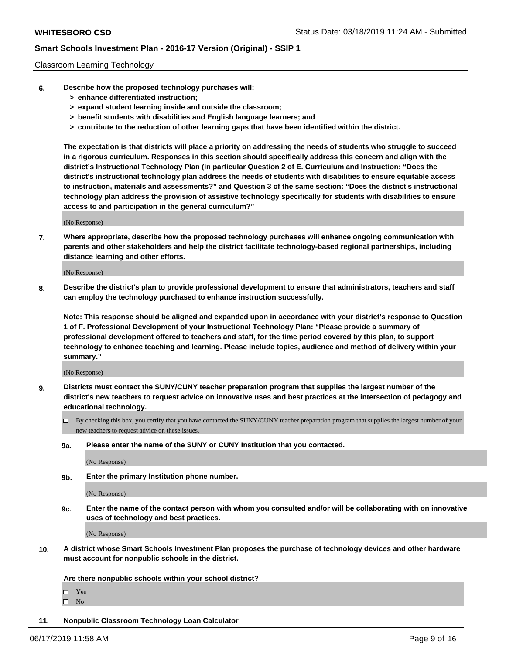#### Classroom Learning Technology

- **6. Describe how the proposed technology purchases will:**
	- **> enhance differentiated instruction;**
	- **> expand student learning inside and outside the classroom;**
	- **> benefit students with disabilities and English language learners; and**
	- **> contribute to the reduction of other learning gaps that have been identified within the district.**

**The expectation is that districts will place a priority on addressing the needs of students who struggle to succeed in a rigorous curriculum. Responses in this section should specifically address this concern and align with the district's Instructional Technology Plan (in particular Question 2 of E. Curriculum and Instruction: "Does the district's instructional technology plan address the needs of students with disabilities to ensure equitable access to instruction, materials and assessments?" and Question 3 of the same section: "Does the district's instructional technology plan address the provision of assistive technology specifically for students with disabilities to ensure access to and participation in the general curriculum?"**

(No Response)

**7. Where appropriate, describe how the proposed technology purchases will enhance ongoing communication with parents and other stakeholders and help the district facilitate technology-based regional partnerships, including distance learning and other efforts.**

(No Response)

**8. Describe the district's plan to provide professional development to ensure that administrators, teachers and staff can employ the technology purchased to enhance instruction successfully.**

**Note: This response should be aligned and expanded upon in accordance with your district's response to Question 1 of F. Professional Development of your Instructional Technology Plan: "Please provide a summary of professional development offered to teachers and staff, for the time period covered by this plan, to support technology to enhance teaching and learning. Please include topics, audience and method of delivery within your summary."**

(No Response)

- **9. Districts must contact the SUNY/CUNY teacher preparation program that supplies the largest number of the district's new teachers to request advice on innovative uses and best practices at the intersection of pedagogy and educational technology.**
	- By checking this box, you certify that you have contacted the SUNY/CUNY teacher preparation program that supplies the largest number of your new teachers to request advice on these issues.
	- **9a. Please enter the name of the SUNY or CUNY Institution that you contacted.**

(No Response)

**9b. Enter the primary Institution phone number.**

(No Response)

**9c. Enter the name of the contact person with whom you consulted and/or will be collaborating with on innovative uses of technology and best practices.**

(No Response)

**10. A district whose Smart Schools Investment Plan proposes the purchase of technology devices and other hardware must account for nonpublic schools in the district.**

**Are there nonpublic schools within your school district?**

Yes

 $\square$  No

**11. Nonpublic Classroom Technology Loan Calculator**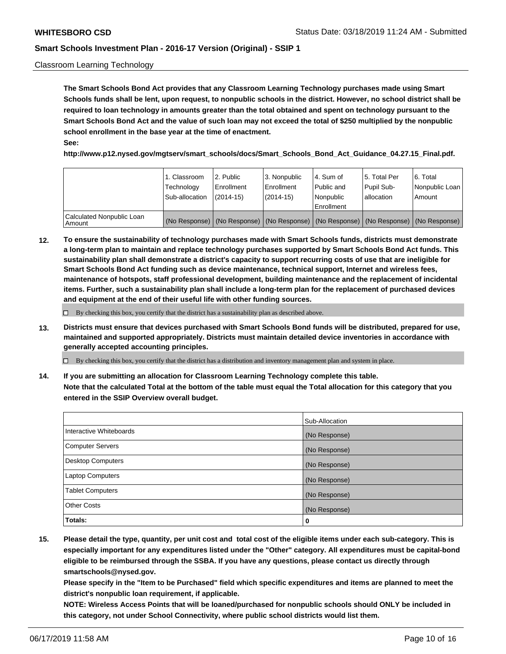#### Classroom Learning Technology

**The Smart Schools Bond Act provides that any Classroom Learning Technology purchases made using Smart Schools funds shall be lent, upon request, to nonpublic schools in the district. However, no school district shall be required to loan technology in amounts greater than the total obtained and spent on technology pursuant to the Smart Schools Bond Act and the value of such loan may not exceed the total of \$250 multiplied by the nonpublic school enrollment in the base year at the time of enactment. See:**

**http://www.p12.nysed.gov/mgtserv/smart\_schools/docs/Smart\_Schools\_Bond\_Act\_Guidance\_04.27.15\_Final.pdf.**

|                                       | 1. Classroom<br>Technology<br>Sub-allocation | 2. Public<br>l Enrollment<br>$(2014 - 15)$ | l 3. Nonpublic<br>l Enrollment<br>$(2014 - 15)$ | l 4. Sum of<br>Public and<br>l Nonpublic<br>Enrollment                                        | 15. Total Per<br>Pupil Sub-<br>l allocation | l 6. Total<br>Nonpublic Loan<br>Amount |
|---------------------------------------|----------------------------------------------|--------------------------------------------|-------------------------------------------------|-----------------------------------------------------------------------------------------------|---------------------------------------------|----------------------------------------|
| Calculated Nonpublic Loan<br>l Amount |                                              |                                            |                                                 | (No Response)   (No Response)   (No Response)   (No Response)   (No Response)   (No Response) |                                             |                                        |

**12. To ensure the sustainability of technology purchases made with Smart Schools funds, districts must demonstrate a long-term plan to maintain and replace technology purchases supported by Smart Schools Bond Act funds. This sustainability plan shall demonstrate a district's capacity to support recurring costs of use that are ineligible for Smart Schools Bond Act funding such as device maintenance, technical support, Internet and wireless fees, maintenance of hotspots, staff professional development, building maintenance and the replacement of incidental items. Further, such a sustainability plan shall include a long-term plan for the replacement of purchased devices and equipment at the end of their useful life with other funding sources.**

 $\Box$  By checking this box, you certify that the district has a sustainability plan as described above.

**13. Districts must ensure that devices purchased with Smart Schools Bond funds will be distributed, prepared for use, maintained and supported appropriately. Districts must maintain detailed device inventories in accordance with generally accepted accounting principles.**

By checking this box, you certify that the district has a distribution and inventory management plan and system in place.

**14. If you are submitting an allocation for Classroom Learning Technology complete this table. Note that the calculated Total at the bottom of the table must equal the Total allocation for this category that you entered in the SSIP Overview overall budget.**

|                          | Sub-Allocation |
|--------------------------|----------------|
| Interactive Whiteboards  | (No Response)  |
| <b>Computer Servers</b>  | (No Response)  |
| <b>Desktop Computers</b> | (No Response)  |
| <b>Laptop Computers</b>  | (No Response)  |
| <b>Tablet Computers</b>  | (No Response)  |
| <b>Other Costs</b>       | (No Response)  |
| Totals:                  | 0              |

**15. Please detail the type, quantity, per unit cost and total cost of the eligible items under each sub-category. This is especially important for any expenditures listed under the "Other" category. All expenditures must be capital-bond eligible to be reimbursed through the SSBA. If you have any questions, please contact us directly through smartschools@nysed.gov.**

**Please specify in the "Item to be Purchased" field which specific expenditures and items are planned to meet the district's nonpublic loan requirement, if applicable.**

**NOTE: Wireless Access Points that will be loaned/purchased for nonpublic schools should ONLY be included in this category, not under School Connectivity, where public school districts would list them.**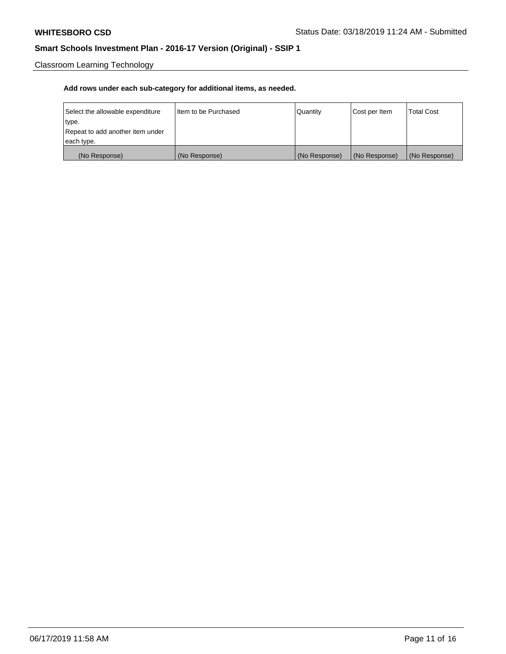Classroom Learning Technology

| Select the allowable expenditure | I ltem to be Purchased | Quantity      | Cost per Item | <b>Total Cost</b> |
|----------------------------------|------------------------|---------------|---------------|-------------------|
| type.                            |                        |               |               |                   |
| Repeat to add another item under |                        |               |               |                   |
| each type.                       |                        |               |               |                   |
| (No Response)                    | (No Response)          | (No Response) | (No Response) | (No Response)     |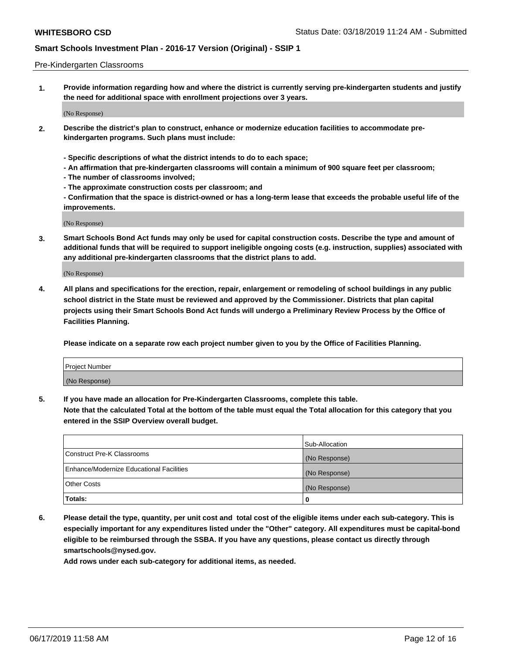#### Pre-Kindergarten Classrooms

**1. Provide information regarding how and where the district is currently serving pre-kindergarten students and justify the need for additional space with enrollment projections over 3 years.**

(No Response)

- **2. Describe the district's plan to construct, enhance or modernize education facilities to accommodate prekindergarten programs. Such plans must include:**
	- **Specific descriptions of what the district intends to do to each space;**
	- **An affirmation that pre-kindergarten classrooms will contain a minimum of 900 square feet per classroom;**
	- **The number of classrooms involved;**
	- **The approximate construction costs per classroom; and**
	- **Confirmation that the space is district-owned or has a long-term lease that exceeds the probable useful life of the improvements.**

(No Response)

**3. Smart Schools Bond Act funds may only be used for capital construction costs. Describe the type and amount of additional funds that will be required to support ineligible ongoing costs (e.g. instruction, supplies) associated with any additional pre-kindergarten classrooms that the district plans to add.**

(No Response)

**4. All plans and specifications for the erection, repair, enlargement or remodeling of school buildings in any public school district in the State must be reviewed and approved by the Commissioner. Districts that plan capital projects using their Smart Schools Bond Act funds will undergo a Preliminary Review Process by the Office of Facilities Planning.**

**Please indicate on a separate row each project number given to you by the Office of Facilities Planning.**

| Project Number |  |
|----------------|--|
| (No Response)  |  |
|                |  |

**5. If you have made an allocation for Pre-Kindergarten Classrooms, complete this table.**

**Note that the calculated Total at the bottom of the table must equal the Total allocation for this category that you entered in the SSIP Overview overall budget.**

|                                          | Sub-Allocation |
|------------------------------------------|----------------|
| Construct Pre-K Classrooms               | (No Response)  |
| Enhance/Modernize Educational Facilities | (No Response)  |
| <b>Other Costs</b>                       | (No Response)  |
| Totals:                                  | 0              |

**6. Please detail the type, quantity, per unit cost and total cost of the eligible items under each sub-category. This is especially important for any expenditures listed under the "Other" category. All expenditures must be capital-bond eligible to be reimbursed through the SSBA. If you have any questions, please contact us directly through smartschools@nysed.gov.**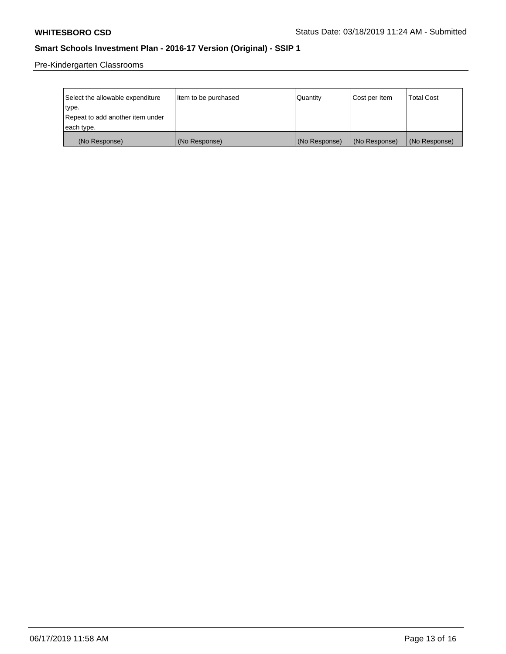Pre-Kindergarten Classrooms

| Select the allowable expenditure | Item to be purchased | Quantity      | Cost per Item | <b>Total Cost</b> |
|----------------------------------|----------------------|---------------|---------------|-------------------|
| type.                            |                      |               |               |                   |
| Repeat to add another item under |                      |               |               |                   |
| each type.                       |                      |               |               |                   |
| (No Response)                    | (No Response)        | (No Response) | (No Response) | (No Response)     |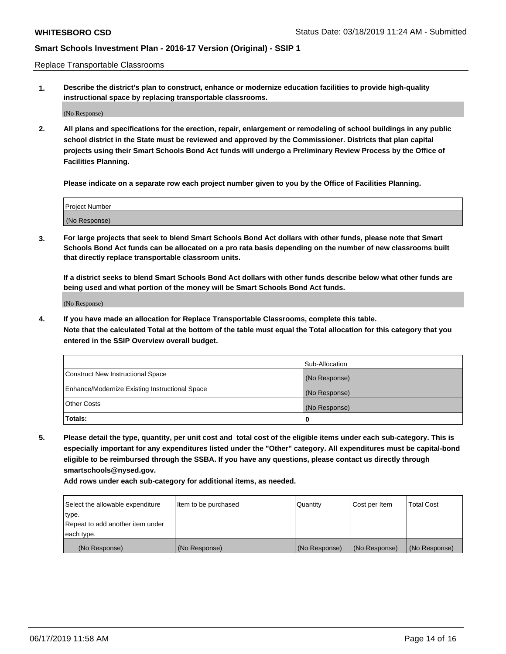Replace Transportable Classrooms

**1. Describe the district's plan to construct, enhance or modernize education facilities to provide high-quality instructional space by replacing transportable classrooms.**

(No Response)

**2. All plans and specifications for the erection, repair, enlargement or remodeling of school buildings in any public school district in the State must be reviewed and approved by the Commissioner. Districts that plan capital projects using their Smart Schools Bond Act funds will undergo a Preliminary Review Process by the Office of Facilities Planning.**

**Please indicate on a separate row each project number given to you by the Office of Facilities Planning.**

| Project Number |  |
|----------------|--|
|                |  |
|                |  |
|                |  |
|                |  |
| (No Response)  |  |
|                |  |
|                |  |
|                |  |

**3. For large projects that seek to blend Smart Schools Bond Act dollars with other funds, please note that Smart Schools Bond Act funds can be allocated on a pro rata basis depending on the number of new classrooms built that directly replace transportable classroom units.**

**If a district seeks to blend Smart Schools Bond Act dollars with other funds describe below what other funds are being used and what portion of the money will be Smart Schools Bond Act funds.**

(No Response)

**4. If you have made an allocation for Replace Transportable Classrooms, complete this table. Note that the calculated Total at the bottom of the table must equal the Total allocation for this category that you entered in the SSIP Overview overall budget.**

|                                                | Sub-Allocation |
|------------------------------------------------|----------------|
| Construct New Instructional Space              | (No Response)  |
| Enhance/Modernize Existing Instructional Space | (No Response)  |
| <b>Other Costs</b>                             | (No Response)  |
| Totals:                                        | 0              |

**5. Please detail the type, quantity, per unit cost and total cost of the eligible items under each sub-category. This is especially important for any expenditures listed under the "Other" category. All expenditures must be capital-bond eligible to be reimbursed through the SSBA. If you have any questions, please contact us directly through smartschools@nysed.gov.**

| Select the allowable expenditure | Item to be purchased | l Quantitv    | Cost per Item | <b>Total Cost</b> |
|----------------------------------|----------------------|---------------|---------------|-------------------|
| type.                            |                      |               |               |                   |
| Repeat to add another item under |                      |               |               |                   |
| each type.                       |                      |               |               |                   |
| (No Response)                    | (No Response)        | (No Response) | (No Response) | (No Response)     |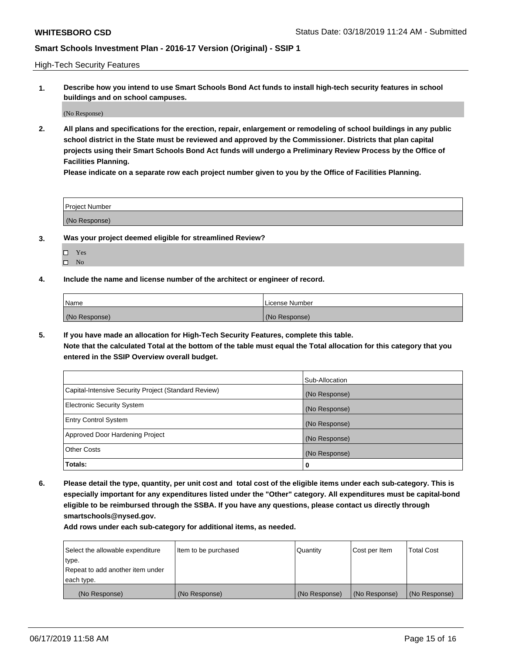High-Tech Security Features

**1. Describe how you intend to use Smart Schools Bond Act funds to install high-tech security features in school buildings and on school campuses.**

(No Response)

**2. All plans and specifications for the erection, repair, enlargement or remodeling of school buildings in any public school district in the State must be reviewed and approved by the Commissioner. Districts that plan capital projects using their Smart Schools Bond Act funds will undergo a Preliminary Review Process by the Office of Facilities Planning.** 

**Please indicate on a separate row each project number given to you by the Office of Facilities Planning.**

| <b>Project Number</b> |  |
|-----------------------|--|
| (No Response)         |  |

- **3. Was your project deemed eligible for streamlined Review?**
	- Yes
	- $\square$  No
- **4. Include the name and license number of the architect or engineer of record.**

| <b>Name</b>   | License Number |
|---------------|----------------|
| (No Response) | (No Response)  |

**5. If you have made an allocation for High-Tech Security Features, complete this table.**

**Note that the calculated Total at the bottom of the table must equal the Total allocation for this category that you entered in the SSIP Overview overall budget.**

|                                                      | Sub-Allocation |
|------------------------------------------------------|----------------|
| Capital-Intensive Security Project (Standard Review) | (No Response)  |
| <b>Electronic Security System</b>                    | (No Response)  |
| <b>Entry Control System</b>                          | (No Response)  |
| Approved Door Hardening Project                      | (No Response)  |
| <b>Other Costs</b>                                   | (No Response)  |
| Totals:                                              | 0              |

**6. Please detail the type, quantity, per unit cost and total cost of the eligible items under each sub-category. This is especially important for any expenditures listed under the "Other" category. All expenditures must be capital-bond eligible to be reimbursed through the SSBA. If you have any questions, please contact us directly through smartschools@nysed.gov.**

| Select the allowable expenditure | Item to be purchased | <b>Quantity</b> | Cost per Item | Total Cost    |
|----------------------------------|----------------------|-----------------|---------------|---------------|
| type.                            |                      |                 |               |               |
| Repeat to add another item under |                      |                 |               |               |
| each type.                       |                      |                 |               |               |
| (No Response)                    | (No Response)        | (No Response)   | (No Response) | (No Response) |